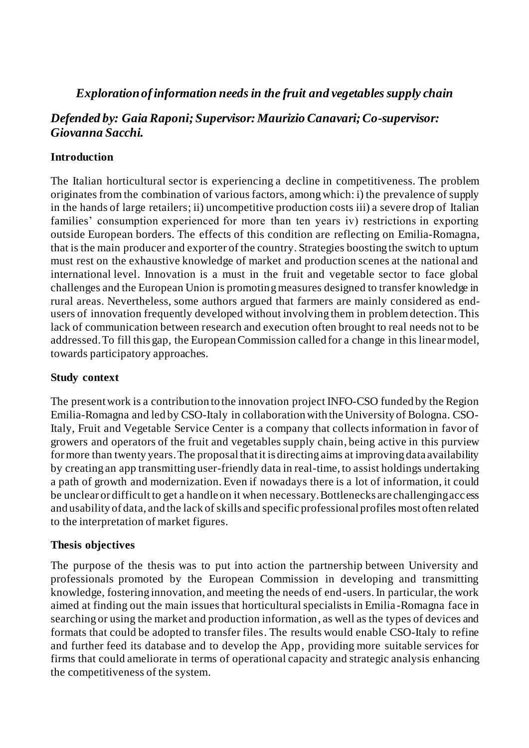# *Exploration of information needs in the fruit and vegetables supply chain*

# *Defended by: Gaia Raponi; Supervisor: Maurizio Canavari; Co-supervisor: Giovanna Sacchi.*

### **Introduction**

The Italian horticultural sector is experiencing a decline in competitiveness. The problem originates from the combination of various factors, among which: i) the prevalence of supply in the hands of large retailers; ii) uncompetitive production costs iii) a severe drop of Italian families' consumption experienced for more than ten years iv) restrictions in exporting outside European borders. The effects of this condition are reflecting on Emilia-Romagna, that is the main producer and exporter of the country. Strategies boosting the switch to upturn must rest on the exhaustive knowledge of market and production scenes at the national and international level. Innovation is a must in the fruit and vegetable sector to face global challenges and the European Union is promoting measures designed to transfer knowledge in rural areas. Nevertheless, some authors argued that farmers are mainly considered as endusers of innovation frequently developed without involving them in problem detection. This lack of communication between research and execution often brought to real needs not to be addressed.To fill this gap, the European Commission called for a change in this linear model, towards participatory approaches.

### **Study context**

The present work is a contribution to the innovation project INFO-CSO funded by the Region Emilia-Romagna and led by CSO-Italy in collaboration with the University of Bologna. CSO-Italy, Fruit and Vegetable Service Center is a company that collects information in favor of growers and operators of the fruit and vegetables supply chain, being active in this purview for more than twenty years. The proposal that it is directing aims at improving data availability by creating an app transmitting user-friendly data in real-time, to assist holdings undertaking a path of growth and modernization. Even if nowadays there is a lot of information, it could be unclear or difficult to get a handle on it when necessary. Bottlenecks are challenging access and usability of data, and the lack of skills and specific professional profiles most often related to the interpretation of market figures.

### **Thesis objectives**

The purpose of the thesis was to put into action the partnership between University and professionals promoted by the European Commission in developing and transmitting knowledge, fostering innovation, and meeting the needs of end-users. In particular, the work aimed at finding out the main issues that horticultural specialists in Emilia -Romagna face in searching or using the market and production information, as well as the types of devices and formats that could be adopted to transfer files. The results would enable CSO-Italy to refine and further feed its database and to develop the App, providing more suitable services for firms that could ameliorate in terms of operational capacity and strategic analysis enhancing the competitiveness of the system.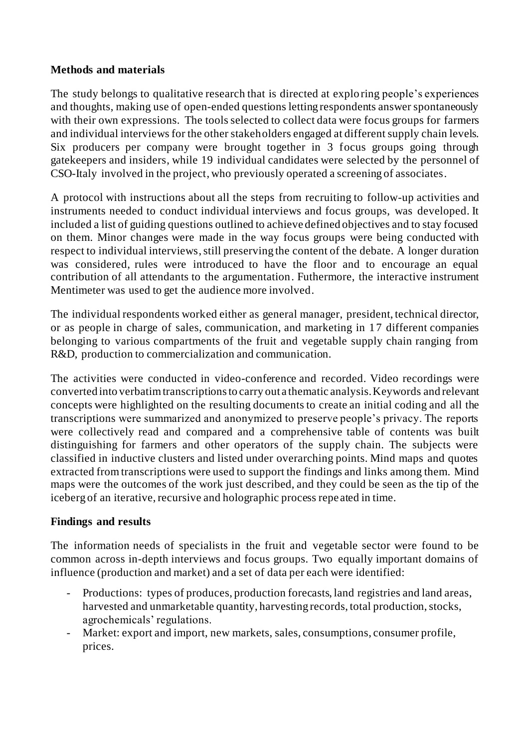#### **Methods and materials**

The study belongs to qualitative research that is directed at explo ring people's experiences and thoughts, making use of open-ended questions letting respondents answer spontaneously with their own expressions. The tools selected to collect data were focus groups for farmers and individual interviews for the other stakeholders engaged at different supply chain levels. Six producers per company were brought together in 3 focus groups going through gatekeepers and insiders, while 19 individual candidates were selected by the personnel of CSO-Italy involved in the project, who previously operated a screening of associates.

A protocol with instructions about all the steps from recruiting to follow-up activities and instruments needed to conduct individual interviews and focus groups, was developed. It included a list of guiding questions outlined to achieve defined objectives and to stay focused on them. Minor changes were made in the way focus groups were being conducted with respect to individual interviews, still preserving the content of the debate. A longer duration was considered, rules were introduced to have the floor and to encourage an equal contribution of all attendants to the argumentation. Futhermore, the interactive instrument Mentimeter was used to get the audience more involved.

The individual respondents worked either as general manager, president, technical director, or as people in charge of sales, communication, and marketing in 17 different companies belonging to various compartments of the fruit and vegetable supply chain ranging from R&D, production to commercialization and communication.

The activities were conducted in video-conference and recorded. Video recordings were converted into verbatimtranscriptions to carry out a thematic analysis. Keywords and relevant concepts were highlighted on the resulting documents to create an initial coding and all the transcriptions were summarized and anonymized to preserve people's privacy. The reports were collectively read and compared and a comprehensive table of contents was built distinguishing for farmers and other operators of the supply chain. The subjects were classified in inductive clusters and listed under overarching points. Mind maps and quotes extracted from transcriptions were used to support the findings and links among them. Mind maps were the outcomes of the work just described, and they could be seen as the tip of the iceberg of an iterative, recursive and holographic process repe ated in time.

### **Findings and results**

The information needs of specialists in the fruit and vegetable sector were found to be common across in-depth interviews and focus groups. Two equally important domains of influence (production and market) and a set of data per each were identified:

- Productions: types of produces, production forecasts, land registries and land areas, harvested and unmarketable quantity, harvesting records, total production, stocks, agrochemicals' regulations.
- Market: export and import, new markets, sales, consumptions, consumer profile, prices.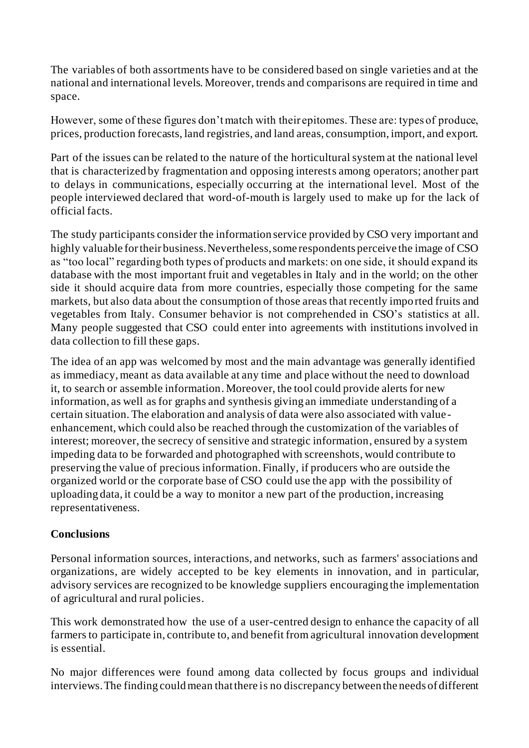The variables of both assortments have to be considered based on single varieties and at the national and international levels. Moreover, trends and comparisons are required in time and space.

However, some of these figures don't match with their epitomes. These are: types of produce, prices, production forecasts, land registries, and land areas, consumption, import, and export.

Part of the issues can be related to the nature of the horticultural system at the national level that is characterized by fragmentation and opposing interests among operators; another part to delays in communications, especially occurring at the international level. Most of the people interviewed declared that word-of-mouth is largely used to make up for the lack of official facts.

The study participants consider the information service provided by CSO very important and highly valuable for their business. Nevertheless, some respondents perceive the image of CSO as "too local" regarding both types of products and markets: on one side, it should expand its database with the most important fruit and vegetables in Italy and in the world; on the other side it should acquire data from more countries, especially those competing for the same markets, but also data about the consumption of those areas that recently impo rted fruits and vegetables from Italy. Consumer behavior is not comprehended in CSO's statistics at all. Many people suggested that CSO could enter into agreements with institutions involved in data collection to fill these gaps.

The idea of an app was welcomed by most and the main advantage was generally identified as immediacy, meant as data available at any time and place without the need to download it, to search or assemble information. Moreover, the tool could provide alerts for new information, as well as for graphs and synthesis giving an immediate understanding of a certain situation. The elaboration and analysis of data were also associated with value enhancement, which could also be reached through the customization of the variables of interest; moreover, the secrecy of sensitive and strategic information, ensured by a system impeding data to be forwarded and photographed with screenshots, would contribute to preserving the value of precious information. Finally, if producers who are outside the organized world or the corporate base of CSO could use the app with the possibility of uploading data, it could be a way to monitor a new part of the production, increasing representativeness.

### **Conclusions**

Personal information sources, interactions, and networks, such as farmers' associations and organizations, are widely accepted to be key elements in innovation, and in particular, advisory services are recognized to be knowledge suppliers encouraging the implementation of agricultural and rural policies.

This work demonstrated how the use of a user-centred design to enhance the capacity of all farmers to participate in, contribute to, and benefit from agricultural innovation development is essential.

No major differences were found among data collected by focus groups and individual interviews. The finding could mean that there is no discrepancy between the needs of different